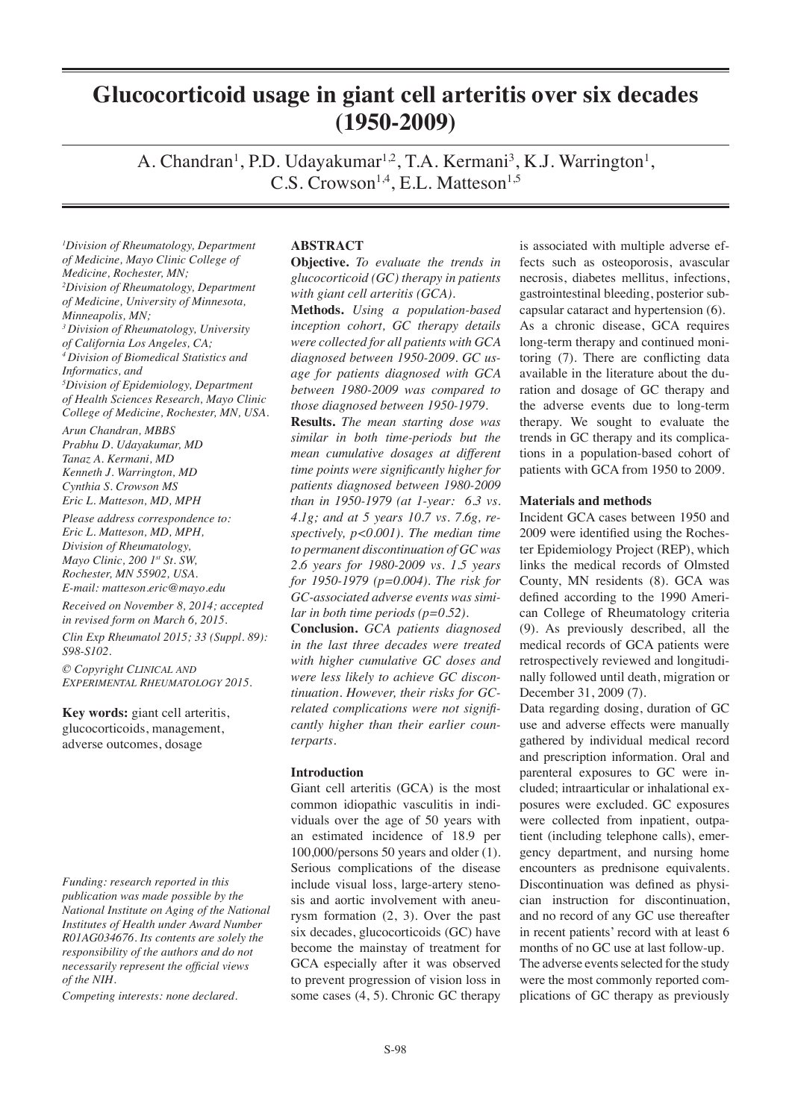# **Glucocorticoid usage in giant cell arteritis over six decades (1950-2009)**

A. Chandran<sup>1</sup>, P.D. Udayakumar<sup>1,2</sup>, T.A. Kermani<sup>3</sup>, K.J. Warrington<sup>1</sup>, C.S. Crowson<sup>1,4</sup>, E.L. Matteson<sup>1,5</sup>

*1 Division of Rheumatology, Department of Medicine, Mayo Clinic College of Medicine, Rochester, MN; 2 Division of Rheumatology, Department of Medicine, University of Minnesota, Minneapolis, MN; 3 Division of Rheumatology, University of California Los Angeles, CA; 4 Division of Biomedical Statistics and Informatics, and 5 Division of Epidemiology, Department of Health Sciences Research, Mayo Clinic College of Medicine, Rochester, MN, USA. Arun Chandran, MBBS*

*Prabhu D. Udayakumar, MD Tanaz A. Kermani, MD Kenneth J. Warrington, MD Cynthia S. Crowson MS Eric L. Matteson, MD, MPH*

*Please address correspondence to: Eric L. Matteson, MD, MPH, Division of Rheumatology, Mayo Clinic, 200 1st St. SW, Rochester, MN 55902, USA. E-mail: matteson.eric@mayo.edu*

*Received on November 8, 2014; accepted in revised form on March 6, 2015.*

*Clin Exp Rheumatol 2015; 33 (Suppl. 89): S98-S102.*

*© Copyright Clinical and Experimental Rheumatology 2015.*

**Key words:** giant cell arteritis, glucocorticoids, management, adverse outcomes, dosage

*Funding: research reported in this publication was made possible by the National Institute on Aging of the National Institutes of Health under Award Number R01AG034676. Its contents are solely the responsibility of the authors and do not necessarily represent the official views of the NIH.*

*Competing interests: none declared.*

## **ABSTRACT**

**Objective.** *To evaluate the trends in glucocorticoid (GC) therapy in patients with giant cell arteritis (GCA).*

**Methods.** *Using a population-based inception cohort, GC therapy details were collected for all patients with GCA diagnosed between 1950-2009. GC usage for patients diagnosed with GCA between 1980-2009 was compared to those diagnosed between 1950-1979.*

**Results.** *The mean starting dose was similar in both time-periods but the mean cumulative dosages at different time points were significantly higher for patients diagnosed between 1980-2009 than in 1950-1979 (at 1-year: 6.3 vs. 4.1g; and at 5 years 10.7 vs. 7.6g, respectively, p<0.001). The median time to permanent discontinuation of GC was 2.6 years for 1980-2009 vs. 1.5 years for 1950-1979 (p=0.004). The risk for GC-associated adverse events was similar in both time periods (p=0.52).* 

**Conclusion.** *GCA patients diagnosed in the last three decades were treated with higher cumulative GC doses and were less likely to achieve GC discontinuation. However, their risks for GCrelated complications were not significantly higher than their earlier counterparts.* 

## **Introduction**

Giant cell arteritis (GCA) is the most common idiopathic vasculitis in individuals over the age of 50 years with an estimated incidence of 18.9 per 100,000/persons 50 years and older (1). Serious complications of the disease include visual loss, large-artery stenosis and aortic involvement with aneurysm formation (2, 3). Over the past six decades, glucocorticoids (GC) have become the mainstay of treatment for GCA especially after it was observed to prevent progression of vision loss in some cases (4, 5). Chronic GC therapy

is associated with multiple adverse effects such as osteoporosis, avascular necrosis, diabetes mellitus, infections, gastrointestinal bleeding, posterior subcapsular cataract and hypertension (6). As a chronic disease, GCA requires long-term therapy and continued monitoring (7). There are conflicting data available in the literature about the duration and dosage of GC therapy and the adverse events due to long-term therapy. We sought to evaluate the trends in GC therapy and its complications in a population-based cohort of patients with GCA from 1950 to 2009.

## **Materials and methods**

Incident GCA cases between 1950 and 2009 were identified using the Rochester Epidemiology Project (REP), which links the medical records of Olmsted County, MN residents (8). GCA was defined according to the 1990 American College of Rheumatology criteria (9). As previously described, all the medical records of GCA patients were retrospectively reviewed and longitudinally followed until death, migration or December 31, 2009 (7).

Data regarding dosing, duration of GC use and adverse effects were manually gathered by individual medical record and prescription information. Oral and parenteral exposures to GC were included; intraarticular or inhalational exposures were excluded. GC exposures were collected from inpatient, outpatient (including telephone calls), emergency department, and nursing home encounters as prednisone equivalents. Discontinuation was defined as physician instruction for discontinuation, and no record of any GC use thereafter in recent patients' record with at least 6 months of no GC use at last follow-up. The adverse events selected for the study were the most commonly reported complications of GC therapy as previously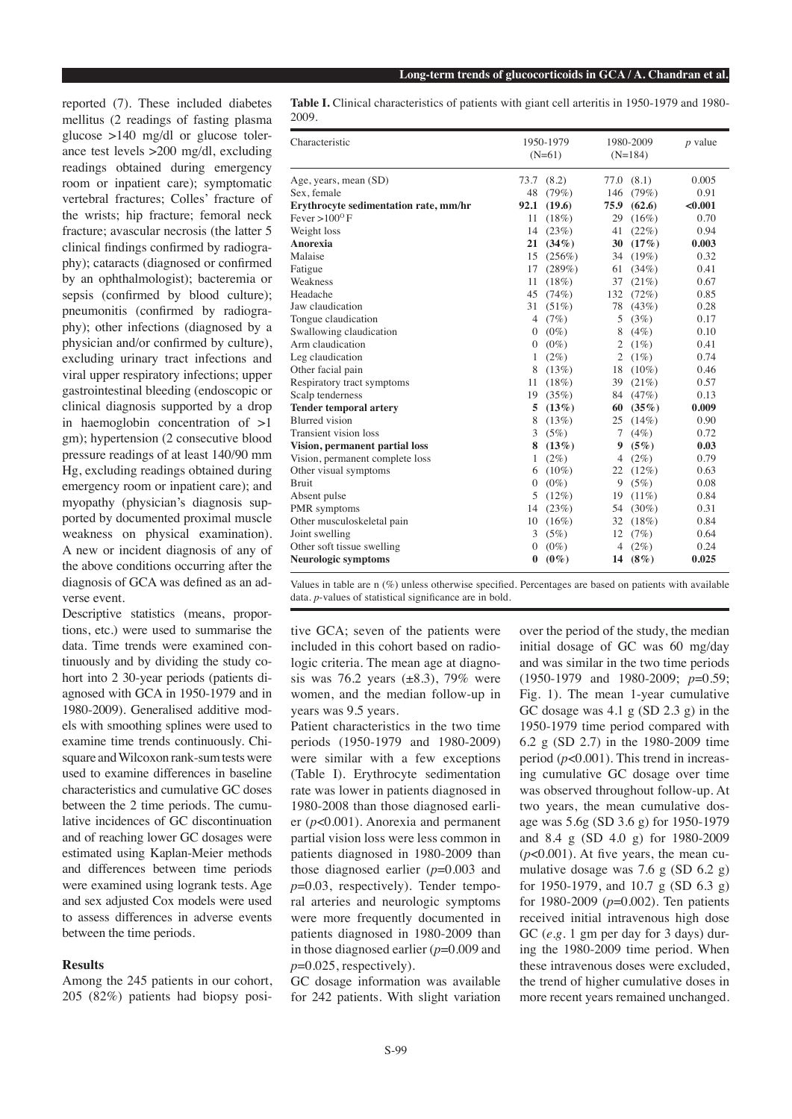reported (7). These included diabetes mellitus (2 readings of fasting plasma glucose >140 mg/dl or glucose tolerance test levels >200 mg/dl, excluding readings obtained during emergency room or inpatient care); symptomatic vertebral fractures; Colles' fracture of the wrists; hip fracture; femoral neck fracture; avascular necrosis (the latter 5 clinical findings confirmed by radiography); cataracts (diagnosed or confirmed by an ophthalmologist); bacteremia or sepsis (confirmed by blood culture); pneumonitis (confirmed by radiography); other infections (diagnosed by a physician and/or confirmed by culture), excluding urinary tract infections and viral upper respiratory infections; upper gastrointestinal bleeding (endoscopic or clinical diagnosis supported by a drop in haemoglobin concentration of >1 gm); hypertension (2 consecutive blood pressure readings of at least 140/90 mm Hg, excluding readings obtained during emergency room or inpatient care); and myopathy (physician's diagnosis supported by documented proximal muscle weakness on physical examination). A new or incident diagnosis of any of the above conditions occurring after the diagnosis of GCA was defined as an adverse event.

Descriptive statistics (means, proportions, etc.) were used to summarise the data. Time trends were examined continuously and by dividing the study cohort into 2 30-year periods (patients diagnosed with GCA in 1950-1979 and in 1980-2009). Generalised additive models with smoothing splines were used to examine time trends continuously. Chisquare and Wilcoxon rank-sum tests were used to examine differences in baseline characteristics and cumulative GC doses between the 2 time periods. The cumulative incidences of GC discontinuation and of reaching lower GC dosages were estimated using Kaplan-Meier methods and differences between time periods were examined using logrank tests. Age and sex adjusted Cox models were used to assess differences in adverse events between the time periods.

# **Results**

Among the 245 patients in our cohort, 205 (82%) patients had biopsy posi**Table I.** Clinical characteristics of patients with giant cell arteritis in 1950-1979 and 1980- 2009.

| Characteristic                        | 1950-1979<br>$(N=61)$ |            | 1980-2009<br>$(N=184)$ |          | $p$ value |
|---------------------------------------|-----------------------|------------|------------------------|----------|-----------|
| Age, years, mean (SD)                 |                       | 73.7 (8.2) | 77.0                   | (8.1)    | 0.005     |
| Sex, female                           | 48                    | (79%)      | 146                    | (79%)    | 0.91      |
| Erythrocyte sedimentation rate, mm/hr | 92.1                  | (19.6)     | 75.9                   | (62.6)   | < 0.001   |
| Fever > $100^{\circ}$ F               | 11                    | $(18\%)$   | 29                     | $(16\%)$ | 0.70      |
| Weight loss                           | 14                    | (23%)      | 41                     | (22%)    | 0.94      |
| Anorexia                              | 21                    | $(34\%)$   | 30                     | (17%)    | 0.003     |
| Malaise                               | 15                    | $(256\%)$  | 34                     | $(19\%)$ | 0.32      |
| Fatigue                               | 17                    | (289%)     | 61                     | (34%)    | 0.41      |
| Weakness                              | 11                    | $(18\%)$   | 37                     | (21%)    | 0.67      |
| Headache                              | 45                    | (74%)      | 132                    | (72%)    | 0.85      |
| Jaw claudication                      | 31                    | $(51\%)$   | 78                     | (43%)    | 0.28      |
| Tongue claudication                   | $\overline{4}$        | (7%)       | 5                      | (3%)     | 0.17      |
| Swallowing claudication               | $\mathbf{0}$          | $(0\%)$    | 8                      | $(4\%)$  | 0.10      |
| Arm claudication                      | 0                     | $(0\%)$    | $\overline{2}$         | $(1\%)$  | 0.41      |
| Leg claudication                      | 1                     | $(2\%)$    | $\overline{2}$         | $(1\%)$  | 0.74      |
| Other facial pain                     | 8                     | (13%)      | 18                     | $(10\%)$ | 0.46      |
| Respiratory tract symptoms            | 11                    | (18%)      | 39                     | (21%)    | 0.57      |
| Scalp tenderness                      | 19                    | (35%)      | 84                     | (47%)    | 0.13      |
| <b>Tender temporal artery</b>         | 5                     | (13%)      | 60                     | $(35\%)$ | 0.009     |
| <b>Blurred</b> vision                 | 8                     | (13%)      | 25                     | $(14\%)$ | 0.90      |
| Transient vision loss                 | 3                     | (5%)       | 7                      | $(4\%)$  | 0.72      |
| Vision, permanent partial loss        | 8                     | (13%)      | 9                      | $(5\%)$  | 0.03      |
| Vision, permanent complete loss       | 1                     | $(2\%)$    | $\overline{4}$         | $(2\%)$  | 0.79      |
| Other visual symptoms                 | 6                     | $(10\%)$   | 22                     | (12%)    | 0.63      |
| <b>Bruit</b>                          | $\theta$              | $(0\%)$    | 9                      | (5%)     | 0.08      |
| Absent pulse                          | 5                     | $(12\%)$   | 19                     | $(11\%)$ | 0.84      |
| PMR symptoms                          | 14                    | (23%)      | 54                     | $(30\%)$ | 0.31      |
| Other musculoskeletal pain            | 10                    | $(16\%)$   | 32                     | (18%)    | 0.84      |
| Joint swelling                        | 3                     | (5%)       | 12                     | (7%)     | 0.64      |
| Other soft tissue swelling            | $\Omega$              | $(0\%)$    | $\overline{4}$         | $(2\%)$  | 0.24      |
| <b>Neurologic symptoms</b>            | $\bf{0}$              | $(0\%)$    | 14                     | $(8\%)$  | 0.025     |

Values in table are n (%) unless otherwise specified. Percentages are based on patients with available data. *p*-values of statistical significance are in bold.

tive GCA; seven of the patients were included in this cohort based on radiologic criteria. The mean age at diagnosis was 76.2 years  $(\pm 8.3)$ , 79% were women, and the median follow-up in years was 9.5 years.

Patient characteristics in the two time periods (1950-1979 and 1980-2009) were similar with a few exceptions (Table I). Erythrocyte sedimentation rate was lower in patients diagnosed in 1980-2008 than those diagnosed earlier (*p*<0.001). Anorexia and permanent partial vision loss were less common in patients diagnosed in 1980-2009 than those diagnosed earlier (*p*=0.003 and *p*=0.03, respectively). Tender temporal arteries and neurologic symptoms were more frequently documented in patients diagnosed in 1980-2009 than in those diagnosed earlier (*p*=0.009 and *p*=0.025, respectively).

GC dosage information was available for 242 patients. With slight variation

over the period of the study, the median initial dosage of GC was 60 mg/day and was similar in the two time periods (1950-1979 and 1980-2009; *p*=0.59; Fig. 1). The mean 1-year cumulative GC dosage was  $4.1$  g (SD  $2.3$  g) in the 1950-1979 time period compared with 6.2 g (SD 2.7) in the 1980-2009 time period (*p*<0.001). This trend in increasing cumulative GC dosage over time was observed throughout follow-up. At two years, the mean cumulative dosage was 5.6g (SD 3.6 g) for 1950-1979 and 8.4 g (SD 4.0 g) for 1980-2009  $(p<0.001)$ . At five years, the mean cumulative dosage was 7.6 g (SD 6.2 g) for 1950-1979, and 10.7 g (SD 6.3 g) for 1980-2009 (*p*=0.002). Ten patients received initial intravenous high dose GC (*e.g.* 1 gm per day for 3 days) during the 1980-2009 time period. When these intravenous doses were excluded, the trend of higher cumulative doses in more recent years remained unchanged.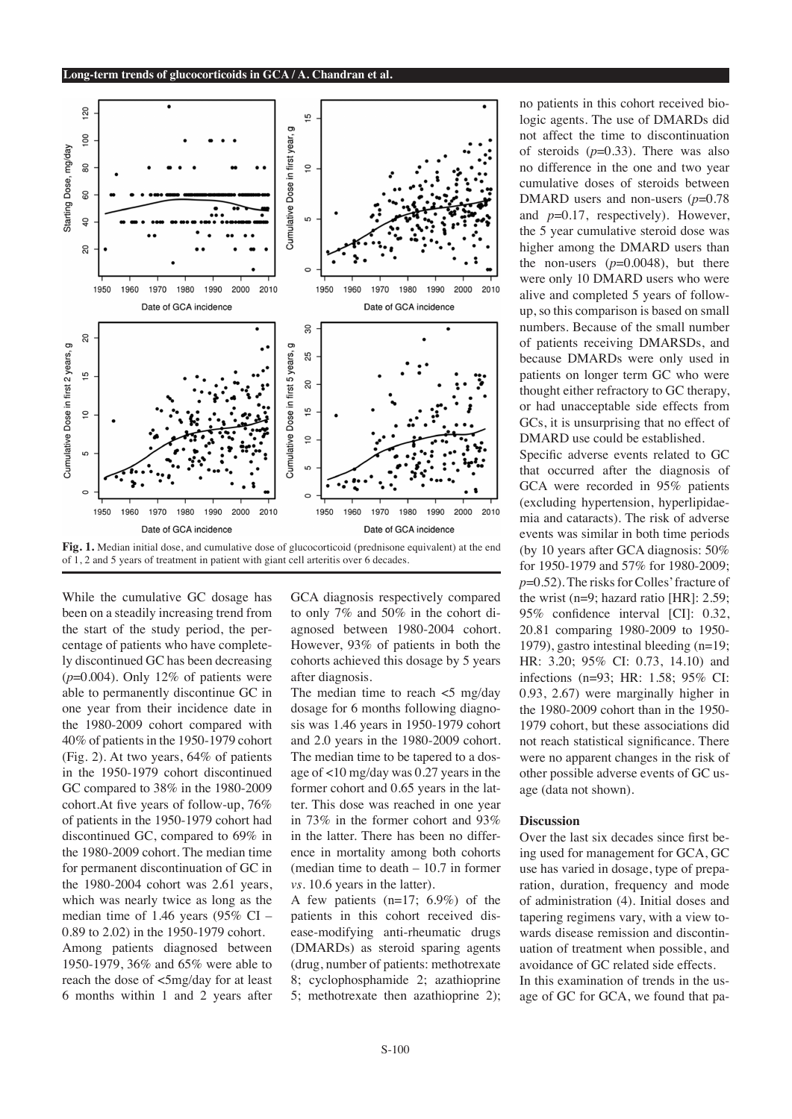



While the cumulative GC dosage has been on a steadily increasing trend from the start of the study period, the percentage of patients who have completely discontinued GC has been decreasing (*p*=0.004). Only 12% of patients were able to permanently discontinue GC in one year from their incidence date in the 1980-2009 cohort compared with 40% of patients in the 1950-1979 cohort (Fig. 2). At two years, 64% of patients in the 1950-1979 cohort discontinued GC compared to 38% in the 1980-2009 cohort.At five years of follow-up, 76% of patients in the 1950-1979 cohort had discontinued GC, compared to 69% in the 1980-2009 cohort. The median time for permanent discontinuation of GC in the 1980-2004 cohort was 2.61 years, which was nearly twice as long as the median time of 1.46 years (95% CI – 0.89 to 2.02) in the 1950-1979 cohort. Among patients diagnosed between 1950-1979, 36% and 65% were able to reach the dose of <5mg/day for at least 6 months within 1 and 2 years after

GCA diagnosis respectively compared to only 7% and 50% in the cohort diagnosed between 1980-2004 cohort. However, 93% of patients in both the cohorts achieved this dosage by 5 years after diagnosis.

The median time to reach  $\lt$ 5 mg/day dosage for 6 months following diagnosis was 1.46 years in 1950-1979 cohort and 2.0 years in the 1980-2009 cohort. The median time to be tapered to a dosage of <10 mg/day was 0.27 years in the former cohort and 0.65 years in the latter. This dose was reached in one year in 73% in the former cohort and 93% in the latter. There has been no difference in mortality among both cohorts (median time to death – 10.7 in former *vs*. 10.6 years in the latter).

A few patients (n=17; 6.9%) of the patients in this cohort received disease-modifying anti-rheumatic drugs (DMARDs) as steroid sparing agents (drug, number of patients: methotrexate 8; cyclophosphamide 2; azathioprine 5; methotrexate then azathioprine 2); no patients in this cohort received biologic agents. The use of DMARDs did not affect the time to discontinuation of steroids  $(p=0.33)$ . There was also no difference in the one and two year cumulative doses of steroids between DMARD users and non-users ( $p=0.78$ ) and *p*=0.17, respectively). However, the 5 year cumulative steroid dose was higher among the DMARD users than the non-users  $(p=0.0048)$ , but there were only 10 DMARD users who were alive and completed 5 years of followup, so this comparison is based on small numbers. Because of the small number of patients receiving DMARSDs, and because DMARDs were only used in patients on longer term GC who were thought either refractory to GC therapy, or had unacceptable side effects from GCs, it is unsurprising that no effect of DMARD use could be established. Specific adverse events related to GC that occurred after the diagnosis of GCA were recorded in 95% patients (excluding hypertension, hyperlipidaemia and cataracts). The risk of adverse

events was similar in both time periods (by 10 years after GCA diagnosis: 50% for 1950-1979 and 57% for 1980-2009; *p*=0.52). The risks for Colles' fracture of the wrist (n=9; hazard ratio [HR]: 2.59; 95% confidence interval [CI]: 0.32, 20.81 comparing 1980-2009 to 1950- 1979), gastro intestinal bleeding (n=19; HR: 3.20; 95% CI: 0.73, 14.10) and infections (n=93; HR: 1.58; 95% CI: 0.93, 2.67) were marginally higher in the 1980-2009 cohort than in the 1950- 1979 cohort, but these associations did not reach statistical significance. There were no apparent changes in the risk of other possible adverse events of GC usage (data not shown).

# **Discussion**

Over the last six decades since first being used for management for GCA, GC use has varied in dosage, type of preparation, duration, frequency and mode of administration (4). Initial doses and tapering regimens vary, with a view towards disease remission and discontinuation of treatment when possible, and avoidance of GC related side effects. In this examination of trends in the usage of GC for GCA, we found that pa-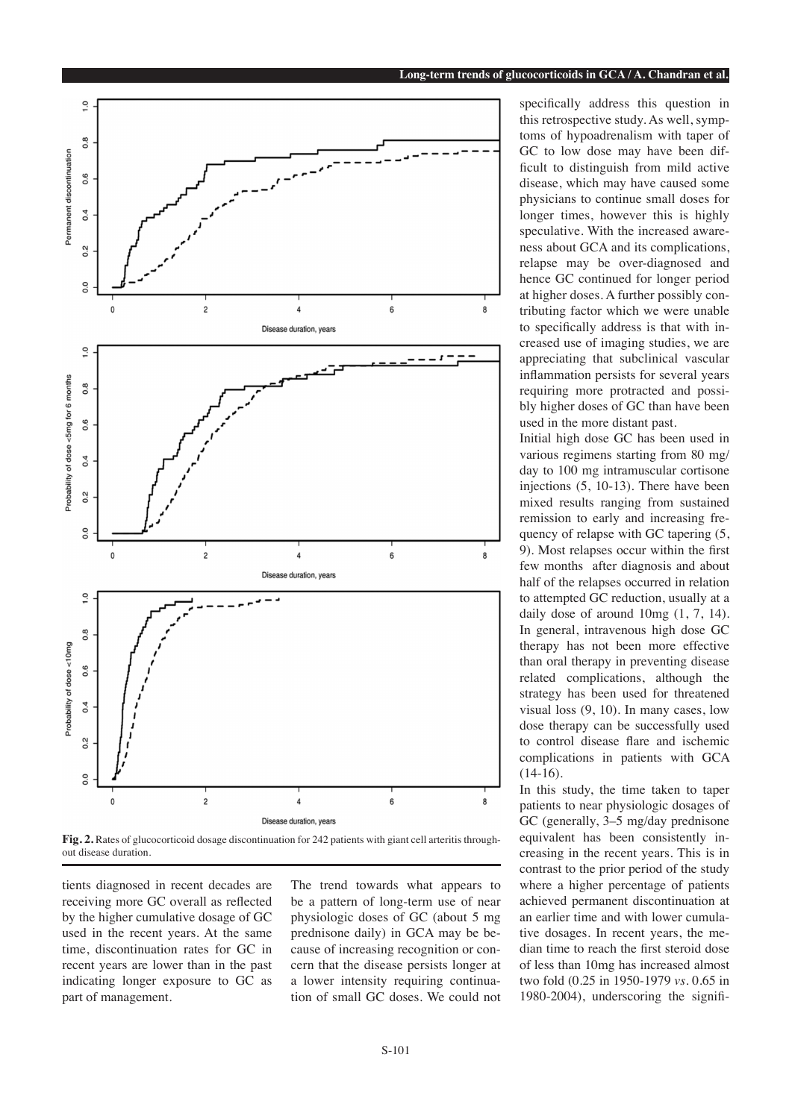

**Fig. 2.** Rates of glucocorticoid dosage discontinuation for 242 patients with giant cell arteritis throughout disease duration.

tients diagnosed in recent decades are receiving more GC overall as reflected by the higher cumulative dosage of GC used in the recent years. At the same time, discontinuation rates for GC in recent years are lower than in the past indicating longer exposure to GC as part of management.

The trend towards what appears to be a pattern of long-term use of near physiologic doses of GC (about 5 mg prednisone daily) in GCA may be because of increasing recognition or concern that the disease persists longer at a lower intensity requiring continuation of small GC doses. We could not specifically address this question in this retrospective study. As well, symptoms of hypoadrenalism with taper of GC to low dose may have been difficult to distinguish from mild active disease, which may have caused some physicians to continue small doses for longer times, however this is highly speculative. With the increased awareness about GCA and its complications, relapse may be over-diagnosed and hence GC continued for longer period at higher doses. A further possibly contributing factor which we were unable to specifically address is that with increased use of imaging studies, we are appreciating that subclinical vascular inflammation persists for several years requiring more protracted and possibly higher doses of GC than have been used in the more distant past.

Initial high dose GC has been used in various regimens starting from 80 mg/ day to 100 mg intramuscular cortisone injections (5, 10-13). There have been mixed results ranging from sustained remission to early and increasing frequency of relapse with GC tapering  $(5, 1)$ 9). Most relapses occur within the first few months after diagnosis and about half of the relapses occurred in relation to attempted GC reduction, usually at a daily dose of around  $10mg(1, 7, 14)$ . In general, intravenous high dose GC therapy has not been more effective than oral therapy in preventing disease related complications, although the strategy has been used for threatened visual loss (9, 10). In many cases, low dose therapy can be successfully used to control disease flare and ischemic complications in patients with GCA  $(14-16)$ .

In this study, the time taken to taper patients to near physiologic dosages of GC (generally, 3–5 mg/day prednisone equivalent has been consistently increasing in the recent years. This is in contrast to the prior period of the study where a higher percentage of patients achieved permanent discontinuation at an earlier time and with lower cumulative dosages. In recent years, the median time to reach the first steroid dose of less than 10mg has increased almost two fold (0.25 in 1950-1979 *vs*. 0.65 in 1980-2004), underscoring the signifi-